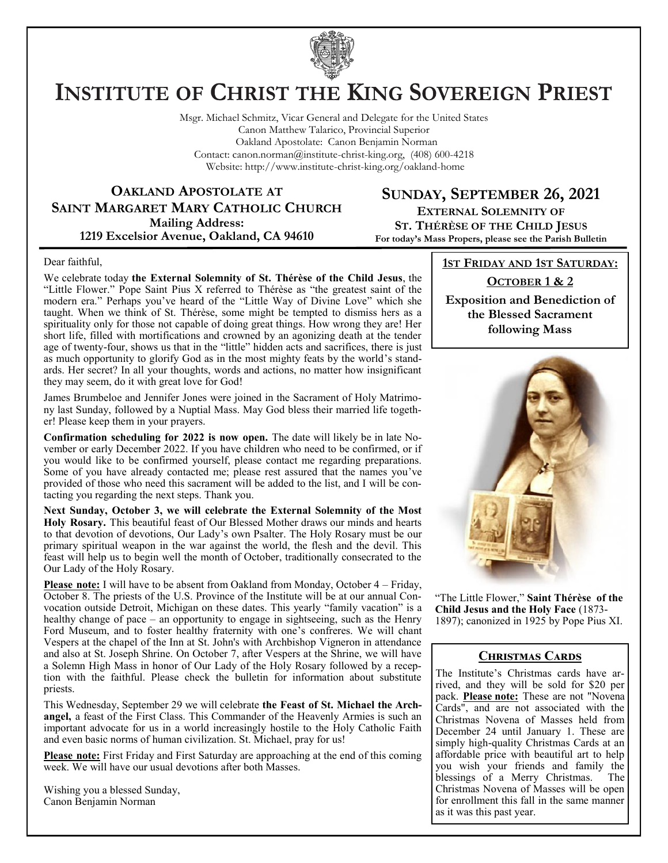

# **INSTITUTE OF CHRIST THE KING SOVEREIGN PRIEST**

Msgr. Michael Schmitz, Vicar General and Delegate for the United States Canon Matthew Talarico, Provincial Superior Oakland Apostolate: Canon Benjamin Norman Contact: canon.norman@institute-christ-king.org, (408) 600-4218 Website: http://www.institute-christ-king.org/oakland-home

**OAKLAND APOSTOLATE AT SAINT MARGARET MARY CATHOLIC CHURCH Mailing Address: 1219 Excelsior Avenue, Oakland, CA 94610**

**SUNDAY, SEPTEMBER 26, 2021 EXTERNAL SOLEMNITY OF ST. THÉRÈSE OF THE CHILD JESUS For today's Mass Propers, please see the Parish Bulletin**

#### Dear faithful,

We celebrate today **the External Solemnity of St. Thérèse of the Child Jesus**, the "Little Flower." Pope Saint Pius X referred to Thérèse as "the greatest saint of the modern era." Perhaps you've heard of the "Little Way of Divine Love" which she taught. When we think of St. Thérèse, some might be tempted to dismiss hers as a spirituality only for those not capable of doing great things. How wrong they are! Her short life, filled with mortifications and crowned by an agonizing death at the tender age of twenty-four, shows us that in the "little" hidden acts and sacrifices, there is just as much opportunity to glorify God as in the most mighty feats by the world's standards. Her secret? In all your thoughts, words and actions, no matter how insignificant they may seem, do it with great love for God!

James Brumbeloe and Jennifer Jones were joined in the Sacrament of Holy Matrimony last Sunday, followed by a Nuptial Mass. May God bless their married life together! Please keep them in your prayers.

**Confirmation scheduling for 2022 is now open.** The date will likely be in late November or early December 2022. If you have children who need to be confirmed, or if you would like to be confirmed yourself, please contact me regarding preparations. Some of you have already contacted me; please rest assured that the names you've provided of those who need this sacrament will be added to the list, and I will be contacting you regarding the next steps. Thank you.

**Next Sunday, October 3, we will celebrate the External Solemnity of the Most Holy Rosary.** This beautiful feast of Our Blessed Mother draws our minds and hearts to that devotion of devotions, Our Lady's own Psalter. The Holy Rosary must be our primary spiritual weapon in the war against the world, the flesh and the devil. This feast will help us to begin well the month of October, traditionally consecrated to the Our Lady of the Holy Rosary.

**Please note:** I will have to be absent from Oakland from Monday, October 4 – Friday, October 8. The priests of the U.S. Province of the Institute will be at our annual Convocation outside Detroit, Michigan on these dates. This yearly "family vacation" is a healthy change of pace – an opportunity to engage in sightseeing, such as the Henry Ford Museum, and to foster healthy fraternity with one's confreres. We will chant Vespers at the chapel of the Inn at St. John's with Archbishop Vigneron in attendance and also at St. Joseph Shrine. On October 7, after Vespers at the Shrine, we will have a Solemn High Mass in honor of Our Lady of the Holy Rosary followed by a reception with the faithful. Please check the bulletin for information about substitute priests.

This Wednesday, September 29 we will celebrate **the Feast of St. Michael the Archangel,** a feast of the First Class. This Commander of the Heavenly Armies is such an important advocate for us in a world increasingly hostile to the Holy Catholic Faith and even basic norms of human civilization. St. Michael, pray for us!

**Please note:** First Friday and First Saturday are approaching at the end of this coming week. We will have our usual devotions after both Masses.

Wishing you a blessed Sunday, Canon Benjamin Norman

**1ST FRIDAY AND 1ST SATURDAY:**

#### **OCTOBER 1 & 2**

**Exposition and Benediction of the Blessed Sacrament following Mass**



"The Little Flower," **Saint Thérèse of the Child Jesus and the Holy Face** (1873- 1897); canonized in 1925 by Pope Pius XI.

#### **Christmas Cards**

The Institute's Christmas cards have arrived, and they will be sold for \$20 per pack. **Please note:** These are not "Novena Cards", and are not associated with the Christmas Novena of Masses held from December 24 until January 1. These are simply high-quality Christmas Cards at an affordable price with beautiful art to help you wish your friends and family the blessings of a Merry Christmas. The Christmas Novena of Masses will be open for enrollment this fall in the same manner as it was this past year.